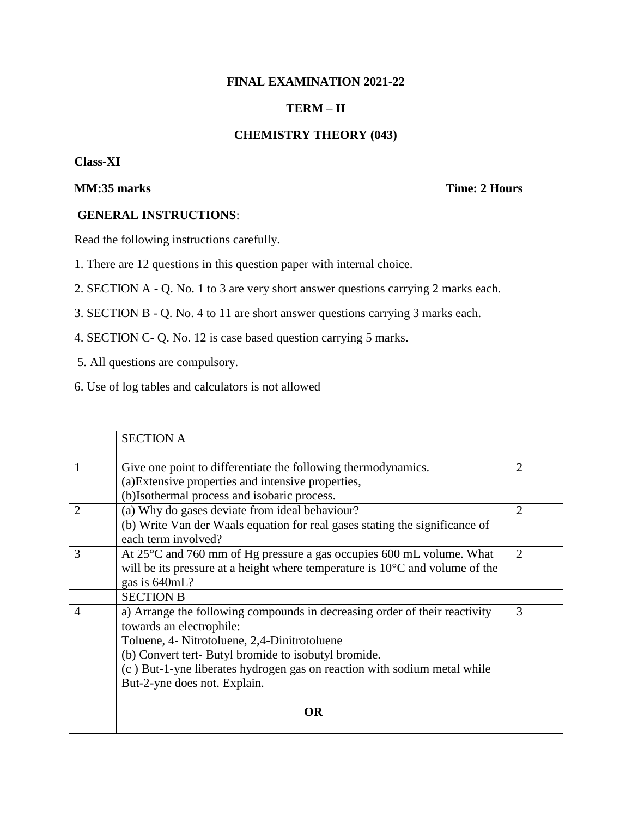# **FINAL EXAMINATION 2021-22**

## **TERM – II**

## **CHEMISTRY THEORY (043)**

### **Class-XI**

# **MM:35 marks** Time: 2 Hours

#### **GENERAL INSTRUCTIONS**:

Read the following instructions carefully.

1. There are 12 questions in this question paper with internal choice.

2. SECTION A - Q. No. 1 to 3 are very short answer questions carrying 2 marks each.

- 3. SECTION B Q. No. 4 to 11 are short answer questions carrying 3 marks each.
- 4. SECTION C- Q. No. 12 is case based question carrying 5 marks.
- 5. All questions are compulsory.
- 6. Use of log tables and calculators is not allowed

|                | <b>SECTION A</b>                                                                                                                                                                                                                                                                                                           |                |
|----------------|----------------------------------------------------------------------------------------------------------------------------------------------------------------------------------------------------------------------------------------------------------------------------------------------------------------------------|----------------|
| 1              | Give one point to differentiate the following thermodynamics.<br>(a) Extensive properties and intensive properties,<br>(b)Isothermal process and isobaric process.                                                                                                                                                         | $\overline{2}$ |
| $\overline{2}$ | (a) Why do gases deviate from ideal behaviour?<br>(b) Write Van der Waals equation for real gases stating the significance of<br>each term involved?                                                                                                                                                                       | $\overline{2}$ |
| 3              | At 25°C and 760 mm of Hg pressure a gas occupies 600 mL volume. What<br>will be its pressure at a height where temperature is $10^{\circ}$ C and volume of the<br>gas is 640mL?                                                                                                                                            | $\overline{2}$ |
|                | <b>SECTION B</b>                                                                                                                                                                                                                                                                                                           |                |
| 4              | a) Arrange the following compounds in decreasing order of their reactivity<br>towards an electrophile:<br>Toluene, 4- Nitrotoluene, 2,4-Dinitrotoluene<br>(b) Convert tert- Butyl bromide to isobutyl bromide.<br>(c) But-1-yne liberates hydrogen gas on reaction with sodium metal while<br>But-2-yne does not. Explain. | 3              |
|                | OR                                                                                                                                                                                                                                                                                                                         |                |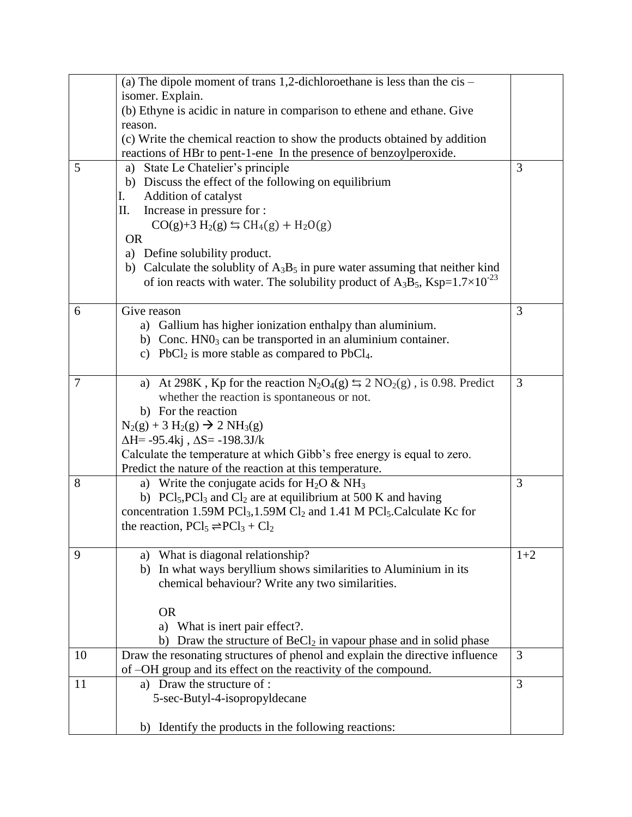|                | (a) The dipole moment of trans 1,2-dichloroethane is less than the $cis$ –                                                                          |       |
|----------------|-----------------------------------------------------------------------------------------------------------------------------------------------------|-------|
|                | isomer. Explain.<br>(b) Ethyne is acidic in nature in comparison to ethene and ethane. Give                                                         |       |
|                | reason.                                                                                                                                             |       |
|                | (c) Write the chemical reaction to show the products obtained by addition                                                                           |       |
|                | reactions of HBr to pent-1-ene In the presence of benzoylperoxide.                                                                                  |       |
| 5              | a) State Le Chatelier's principle                                                                                                                   | 3     |
|                | b) Discuss the effect of the following on equilibrium                                                                                               |       |
|                | Addition of catalyst<br>I.                                                                                                                          |       |
|                | Increase in pressure for :<br>П.                                                                                                                    |       |
|                | $CO(g)+3 H_2(g) \leftrightarrows CH_4(g) + H_2O(g)$                                                                                                 |       |
|                | <b>OR</b>                                                                                                                                           |       |
|                | a) Define solubility product.                                                                                                                       |       |
|                | b) Calculate the solublity of $A_3B_5$ in pure water assuming that neither kind                                                                     |       |
|                | of ion reacts with water. The solubility product of A <sub>3</sub> B <sub>5</sub> , Ksp= $1.7 \times 10^{-23}$                                      |       |
|                |                                                                                                                                                     |       |
| 6              | Give reason                                                                                                                                         | 3     |
|                | a) Gallium has higher ionization enthalpy than aluminium.                                                                                           |       |
|                | b) Conc. $HNO3$ can be transported in an aluminium container.                                                                                       |       |
|                | c) PbCl <sub>2</sub> is more stable as compared to PbCl <sub>4</sub> .                                                                              |       |
| $\overline{7}$ | a) At 298K, Kp for the reaction $N_2O_4(g) \le 2 NO_2(g)$ , is 0.98. Predict                                                                        | 3     |
|                | whether the reaction is spontaneous or not.                                                                                                         |       |
|                | b) For the reaction                                                                                                                                 |       |
|                | $N_2(g) + 3 H_2(g) \rightarrow 2 NH_3(g)$                                                                                                           |       |
|                | $\Delta H$ = -95.4kj, $\Delta S$ = -198.3J/k                                                                                                        |       |
|                | Calculate the temperature at which Gibb's free energy is equal to zero.                                                                             |       |
|                | Predict the nature of the reaction at this temperature.                                                                                             |       |
| 8              | a) Write the conjugate acids for $H_2O \& NH_3$                                                                                                     | 3     |
|                | b) $\text{PCl}_5$ , $\text{PCl}_3$ and $\text{Cl}_2$ are at equilibrium at 500 K and having                                                         |       |
|                | concentration 1.59M PCl <sub>3</sub> ,1.59M Cl <sub>2</sub> and 1.41 M PCl <sub>5</sub> . Calculate Kc for                                          |       |
|                | the reaction, $PCl_5 \rightleftharpoons PCl_3 + Cl_2$                                                                                               |       |
|                |                                                                                                                                                     |       |
| 9              | a) What is diagonal relationship?                                                                                                                   | $1+2$ |
|                | In what ways beryllium shows similarities to Aluminium in its<br>b)                                                                                 |       |
|                | chemical behaviour? Write any two similarities.                                                                                                     |       |
|                |                                                                                                                                                     |       |
|                | <b>OR</b>                                                                                                                                           |       |
|                | a) What is inert pair effect?.                                                                                                                      |       |
| 10             | b) Draw the structure of $BeCl2$ in vapour phase and in solid phase<br>Draw the resonating structures of phenol and explain the directive influence | 3     |
|                | of -OH group and its effect on the reactivity of the compound.                                                                                      |       |
| 11             | a) Draw the structure of :                                                                                                                          | 3     |
|                | 5-sec-Butyl-4-isopropyldecane                                                                                                                       |       |
|                |                                                                                                                                                     |       |
|                | b) Identify the products in the following reactions:                                                                                                |       |